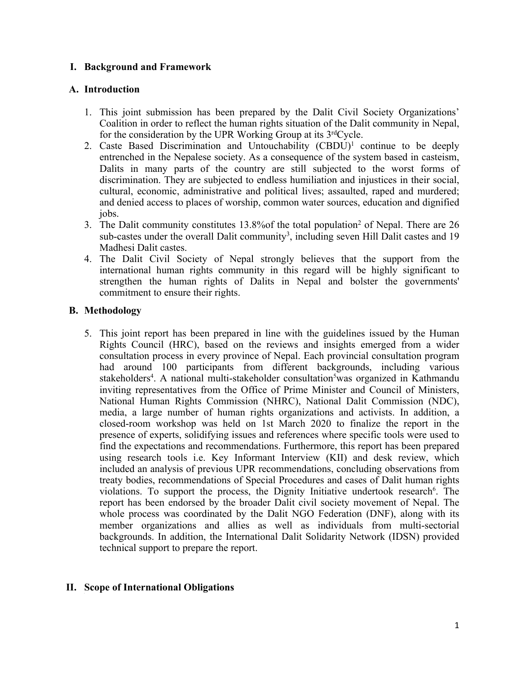# **I. Background and Framework**

# **A. Introduction**

- 1. This joint submission has been prepared by the Dalit Civil Society Organizations' Coalition in order to reflect the human rights situation of the Dalit community in Nepal, for the consideration by the UPR Working Group at its  $3<sup>rd</sup>Cycle$ .
- 2. Caste Based Discrimination and Untouchability (CBDU) 1 continue to be deeply entrenched in the Nepalese society. As <sup>a</sup> consequence of the system based in casteism, Dalits in many parts of the country are still subjected to the worst forms of discrimination. They are subjected to endless humiliation and injustices in their social, cultural, economic, administrative and political lives; assaulted, raped and murdered; and denied access to places of worship, common water sources, education and dignified jobs.
- 3. The Dalit community constitutes 13.8% of the total population<sup>2</sup> of Nepal. There are 26 sub-castes under the overall Dalit community<sup>3</sup>, including seven Hill Dalit castes and 19 Madhesi Dalit castes.
- 4. The Dalit Civil Society of Nepal strongly believes that the suppor<sup>t</sup> from the international human rights community in this regard will be highly significant to strengthen the human rights of Dalits in Nepal and bolster the governments' commitment to ensure their rights.

# **B. Methodology**

5. This joint repor<sup>t</sup> has been prepared in line with the guidelines issued by the Human Rights Council (HRC), based on the reviews and insights emerged from <sup>a</sup> wider consultation process in every province of Nepal. Each provincial consultation program had around 100 participants from different backgrounds, including various stakeholders<sup>4</sup>. A national multi-stakeholder consultation<sup>5</sup>was organized in Kathmandu inviting representatives from the Office of Prime Minister and Council of Ministers, National Human Rights Commission (NHRC), National Dalit Commission (NDC), media, <sup>a</sup> large number of human rights organizations and activists. In addition, <sup>a</sup> closed-room workshop was held on 1st March 2020 to finalize the repor<sup>t</sup> in the presence of experts, solidifying issues and references where specific tools were used to find the expectations and recommendations. Furthermore, this repor<sup>t</sup> has been prepared using research tools i.e. Key Informant Interview (KII) and desk review, which included an analysis of previous UPR recommendations, concluding observations from treaty bodies, recommendations of Special Procedures and cases of Dalit human rights violations. To support the process, the Dignity Initiative undertook research<sup>6</sup>. The repor<sup>t</sup> has been endorsed by the broader Dalit civil society movement of Nepal. The whole process was coordinated by the Dalit NGO Federation (DNF), along with its member organizations and allies as well as individuals from multi-sectorial backgrounds. In addition, the International Dalit Solidarity Network (IDSN) provided technical suppor<sup>t</sup> to prepare the report.

# **II. Scope of International Obligations**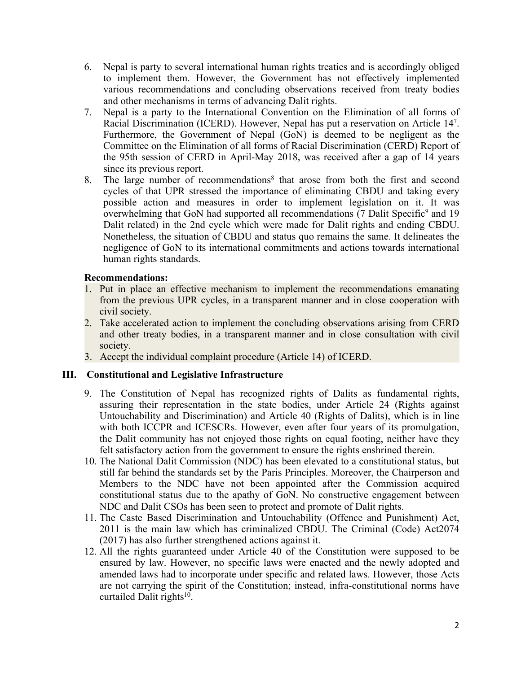- 6. Nepal is party to several international human rights treaties and is accordingly obliged to implement them. However, the Government has not effectively implemented various recommendations and concluding observations received from treaty bodies and other mechanisms in terms of advancing Dalit rights.
- 7. Nepal is <sup>a</sup> party to the International Convention on the Elimination of all forms of Racial Discrimination (ICERD). However, Nepal has pu<sup>t</sup> <sup>a</sup> reservation on Article <sup>14</sup><sup>7</sup> . Furthermore, the Government of Nepal (GoN) is deemed to be negligent as the Committee on the Elimination of all forms of Racial Discrimination (CERD) Report of the 95th session of CERD in April-May 2018, was received after <sup>a</sup> gap of 14 years since its previous report.
- 8. The large number of recommendations<sup>8</sup> that arose from both the first and second cycles of that UPR stressed the importance of eliminating CBDU and taking every possible action and measures in order to implement legislation on it. It was overwhelming that GoN had supported all recommendations (7 Dalit Specific<sup>9</sup> and 19 Dalit related) in the 2nd cycle which were made for Dalit rights and ending CBDU. Nonetheless, the situation of CBDU and status quo remains the same. It delineates the negligence of GoN to its international commitments and actions towards international human rights standards.

- 1. Put in place an effective mechanism to implement the recommendations emanating from the previous UPR cycles, in <sup>a</sup> transparent manner and in close cooperation with civil society.
- 2. Take accelerated action to implement the concluding observations arising from CERD and other treaty bodies, in <sup>a</sup> transparent manner and in close consultation with civil society.
- 3. Accept the individual complaint procedure (Article 14) of ICERD.

## **III. Constitutional and Legislative Infrastructure**

- 9. The Constitution of Nepal has recognized rights of Dalits as fundamental rights, assuring their representation in the state bodies, under Article 24 (Rights against Untouchability and Discrimination) and Article 40 (Rights of Dalits), which is in line with both ICCPR and ICESCRs. However, even after four years of its promulgation, the Dalit community has not enjoyed those rights on equal footing, neither have they felt satisfactory action from the governmen<sup>t</sup> to ensure the rights enshrined therein.
- 10. The National Dalit Commission (NDC) has been elevated to <sup>a</sup> constitutional status, but still far behind the standards set by the Paris Principles. Moreover, the Chairperson and Members to the NDC have not been appointed after the Commission acquired constitutional status due to the apathy of GoN. No constructive engagemen<sup>t</sup> between NDC and Dalit CSOs has been seen to protect and promote of Dalit rights.
- 11. The Caste Based Discrimination and Untouchability (Offence and Punishment) Act, 2011 is the main law which has criminalized CBDU. The Criminal (Code) Act2074 (2017) has also further strengthened actions against it.
- 12. All the rights guaranteed under Article 40 of the Constitution were supposed to be ensured by law. However, no specific laws were enacted and the newly adopted and amended laws had to incorporate under specific and related laws. However, those Acts are not carrying the spirit of the Constitution; instead, infra-constitutional norms have curtailed Dalit rights<sup>10</sup>.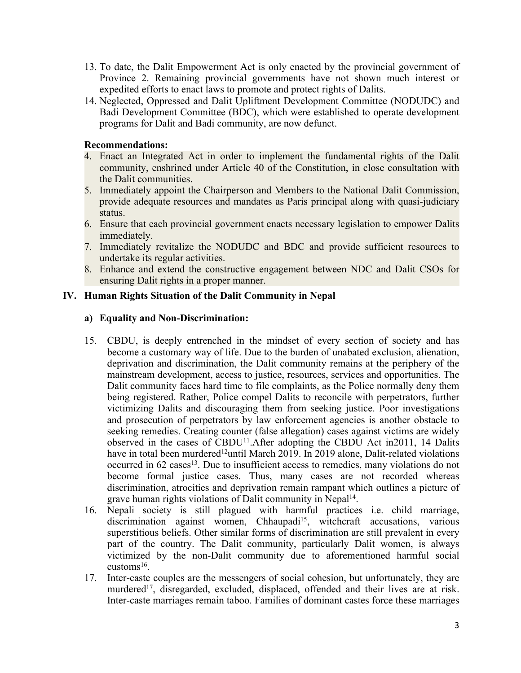- 13. To date, the Dalit Empowerment Act is only enacted by the provincial governmen<sup>t</sup> of Province 2. Remaining provincial governments have not shown much interest or expedited efforts to enact laws to promote and protect rights of Dalits.
- 14. Neglected, Oppressed and Dalit Upliftment Development Committee (NODUDC) and Badi Development Committee (BDC), which were established to operate development programs for Dalit and Badi community, are now defunct.

- 4. Enact an Integrated Act in order to implement the fundamental rights of the Dalit community, enshrined under Article 40 of the Constitution, in close consultation with the Dalit communities.
- 5. Immediately appoint the Chairperson and Members to the National Dalit Commission, provide adequate resources and mandates as Paris principal along with quasi-judiciary status.
- 6. Ensure that each provincial governmen<sup>t</sup> enacts necessary legislation to empower Dalits immediately.
- 7. Immediately revitalize the NODUDC and BDC and provide sufficient resources to undertake its regular activities.
- 8. Enhance and extend the constructive engagemen<sup>t</sup> between NDC and Dalit CSOs for ensuring Dalit rights in <sup>a</sup> proper manner.

# **IV. Human Rights Situation of the Dalit Community in Nepal**

## **a) Equality and Non-Discrimination:**

- 15. CBDU, is deeply entrenched in the mindset of every section of society and has become <sup>a</sup> customary way of life. Due to the burden of unabated exclusion, alienation, deprivation and discrimination, the Dalit community remains at the periphery of the mainstream development, access to justice, resources, services and opportunities. The Dalit community faces hard time to file complaints, as the Police normally deny them being registered. Rather, Police compel Dalits to reconcile with perpetrators, further victimizing Dalits and discouraging them from seeking justice. Poor investigations and prosecution of perpetrators by law enforcement agencies is another obstacle to seeking remedies. Creating counter (false allegation) cases against victims are widely observed in the cases of CBDU<sup>11</sup>. After adopting the CBDU Act in 2011, 14 Dalits have in total been murdered<sup>12</sup>until March 2019. In 2019 alone, Dalit-related violations occurred in 62 cases 13 . Due to insufficient access to remedies, many violations do not become formal justice cases. Thus, many cases are not recorded whereas discrimination, atrocities and deprivation remain rampan<sup>t</sup> which outlines <sup>a</sup> picture of grave human rights violations of Dalit community in Nepal<sup>14</sup>.
- 16. Nepali society is still plagued with harmful practices i.e. child marriage, discrimination against women, Chhaupadi 15 , witchcraft accusations, various superstitious beliefs. Other similar forms of discrimination are still prevalent in every par<sup>t</sup> of the country. The Dalit community, particularly Dalit women, is always victimized by the non-Dalit community due to aforementioned harmful social customs 16 .
- 17. Inter-caste couples are the messengers of social cohesion, but unfortunately, they are murdered<sup>17</sup>, disregarded, excluded, displaced, offended and their lives are at risk. Inter-caste marriages remain taboo. Families of dominant castes force these marriages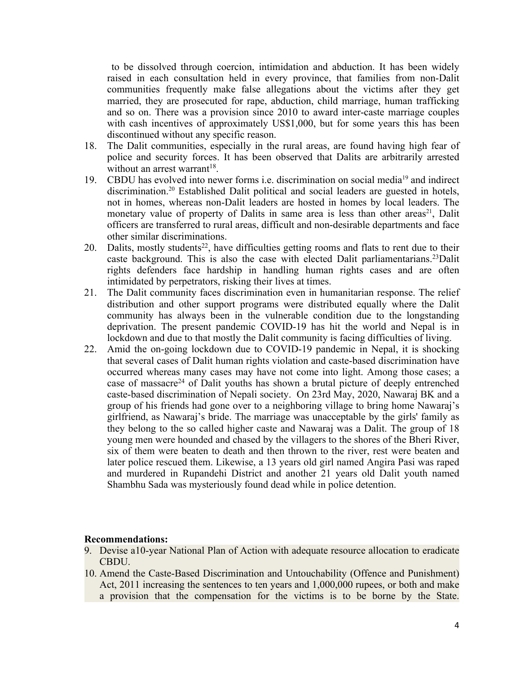to be dissolved through coercion, intimidation and abduction. It has been widely raised in each consultation held in every province, that families from non-Dalit communities frequently make false allegations about the victims after they ge<sup>t</sup> married, they are prosecuted for rape, abduction, child marriage, human trafficking and so on. There was <sup>a</sup> provision since 2010 to award inter-caste marriage couples with cash incentives of approximately US\$1,000, but for some years this has been discontinued without any specific reason.

- 18. The Dalit communities, especially in the rural areas, are found having high fear of police and security forces. It has been observed that Dalits are arbitrarily arrested without an arrest warrant<sup>18</sup>.
- 19. CBDU has evolved into newer forms *i.e.* discrimination on social media<sup>19</sup> and indirect discrimination. 20 Established Dalit political and social leaders are guested in hotels, not in homes, whereas non-Dalit leaders are hosted in homes by local leaders. The monetary value of property of Dalits in same area is less than other areas<sup>21</sup>, Dalit officers are transferred to rural areas, difficult and non-desirable departments and face other similar discriminations.
- 20. Dalits, mostly students<sup>22</sup>, have difficulties getting rooms and flats to rent due to their caste background. This is also the case with elected Dalit parliamentarians. <sup>23</sup>Dalit rights defenders face hardship in handling human rights cases and are often intimidated by perpetrators, risking their lives at times.
- 21. The Dalit community faces discrimination even in humanitarian response. The relief distribution and other suppor<sup>t</sup> programs were distributed equally where the Dalit community has always been in the vulnerable condition due to the longstanding deprivation. The presen<sup>t</sup> pandemic COVID-19 has hit the world and Nepal is in lockdown and due to that mostly the Dalit community is facing difficulties of living.
- 22. Amid the on-going lockdown due to COVID-19 pandemic in Nepal, it is shocking that several cases of Dalit human rights violation and caste-based discrimination have occurred whereas many cases may have not come into light. Among those cases; <sup>a</sup> case of massacre<sup>24</sup> of Dalit youths has shown a brutal picture of deeply entrenched caste-based discrimination of Nepali society. On 23rd May, 2020, Nawaraj BK and <sup>a</sup> group of his friends had gone over to <sup>a</sup> neighboring village to bring home Nawaraj'<sup>s</sup> girlfriend, as Nawaraj'<sup>s</sup> bride. The marriage was unacceptable by the girls' family as they belong to the so called higher caste and Nawaraj was <sup>a</sup> Dalit. The group of 18 young men were hounded and chased by the villagers to the shores of the Bheri River, six of them were beaten to death and then thrown to the river, rest were beaten and later police rescued them. Likewise, <sup>a</sup> 13 years old girl named Angira Pasi was raped and murdered in Rupandehi District and another 21 years old Dalit youth named Shambhu Sada was mysteriously found dead while in police detention.

#### **Recommendations:**

- 9. Devise a10-year National Plan of Action with adequate resource allocation to eradicate CBDU.
- 10. Amend the Caste-Based Discrimination and Untouchability (Offence and Punishment) Act, 2011 increasing the sentences to ten years and 1,000,000 rupees, or both and make <sup>a</sup> provision that the compensation for the victims is to be borne by the State.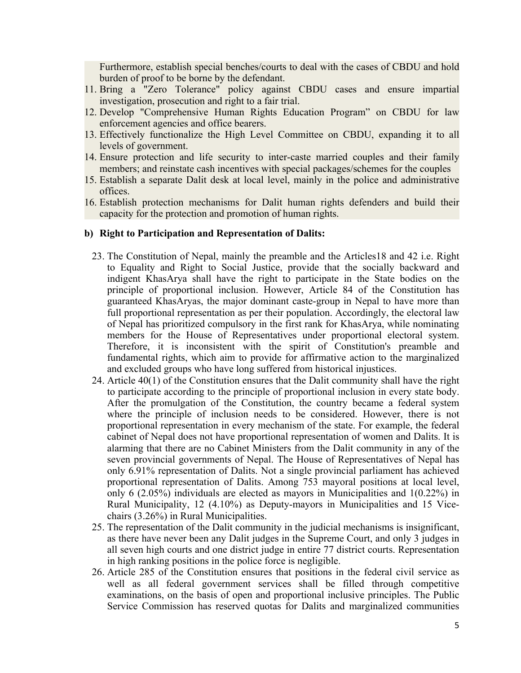Furthermore, establish special benches/courts to deal with the cases of CBDU and hold burden of proof to be borne by the defendant.

- 11. Bring <sup>a</sup> "Zero Tolerance" policy against CBDU cases and ensure impartial investigation, prosecution and right to <sup>a</sup> fair trial.
- 12. Develop "Comprehensive Human Rights Education Program" on CBDU for law enforcement agencies and office bearers.
- 13. Effectively functionalize the High Level Committee on CBDU, expanding it to all levels of government.
- 14. Ensure protection and life security to inter-caste married couples and their family members; and reinstate cash incentives with special packages/schemes for the couples
- 15. Establish <sup>a</sup> separate Dalit desk at local level, mainly in the police and administrative offices.
- 16. Establish protection mechanisms for Dalit human rights defenders and build their capacity for the protection and promotion of human rights.

#### **b) Right to Participation and Representation of Dalits:**

- 23. The Constitution of Nepal, mainly the preamble and the Articles18 and 42 i.e. Right to Equality and Right to Social Justice, provide that the socially backward and indigent KhasArya shall have the right to participate in the State bodies on the principle of proportional inclusion. However, Article 84 of the Constitution has guaranteed KhasAryas, the major dominant caste-group in Nepal to have more than full proportional representation as per their population. Accordingly, the electoral law of Nepal has prioritized compulsory in the first rank for KhasArya, while nominating members for the House of Representatives under proportional electoral system. Therefore, it is inconsistent with the spirit of Constitution's preamble and fundamental rights, which aim to provide for affirmative action to the marginalized and excluded groups who have long suffered from historical injustices.
- 24. Article 40(1) of the Constitution ensures that the Dalit community shall have the right to participate according to the principle of proportional inclusion in every state body. After the promulgation of the Constitution, the country became <sup>a</sup> federal system where the principle of inclusion needs to be considered. However, there is not proportional representation in every mechanism of the state. For example, the federal cabinet of Nepal does not have proportional representation of women and Dalits. It is alarming that there are no Cabinet Ministers from the Dalit community in any of the seven provincial governments of Nepal. The House of Representatives of Nepal has only 6.91% representation of Dalits. Not <sup>a</sup> single provincial parliament has achieved proportional representation of Dalits. Among 753 mayoral positions at local level, only 6 (2.05%) individuals are elected as mayors in Municipalities and 1(0.22%) in Rural Municipality, 12 (4.10%) as Deputy-mayors in Municipalities and 15 Vicechairs (3.26%) in Rural Municipalities.
- 25. The representation of the Dalit community in the judicial mechanisms is insignificant, as there have never been any Dalit judges in the Supreme Court, and only 3 judges in all seven high courts and one district judge in entire 77 district courts. Representation in high ranking positions in the police force is negligible.
- 26. Article 285 of the Constitution ensures that positions in the federal civil service as well as all federal governmen<sup>t</sup> services shall be filled through competitive examinations, on the basis of open and proportional inclusive principles. The Public Service Commission has reserved quotas for Dalits and marginalized communities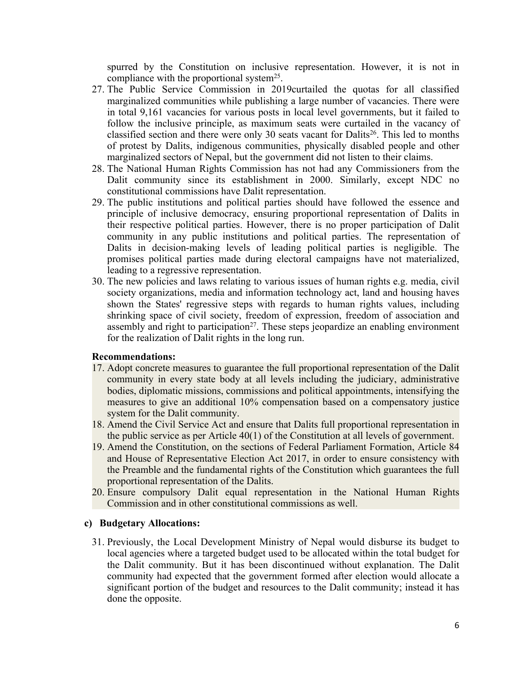spurred by the Constitution on inclusive representation. However, it is not in compliance with the proportional system<sup>25</sup>.

- 27. The Public Service Commission in 2019curtailed the quotas for all classified marginalized communities while publishing <sup>a</sup> large number of vacancies. There were in total 9,161 vacancies for various posts in local level governments, but it failed to follow the inclusive principle, as maximum seats were curtailed in the vacancy of classified section and there were only 30 seats vacant for Dalits<sup>26</sup>. This led to months of protest by Dalits, indigenous communities, physically disabled people and other marginalized sectors of Nepal, but the governmen<sup>t</sup> did not listen to their claims.
- 28. The National Human Rights Commission has not had any Commissioners from the Dalit community since its establishment in 2000. Similarly, excep<sup>t</sup> NDC no constitutional commissions have Dalit representation.
- 29. The public institutions and political parties should have followed the essence and principle of inclusive democracy, ensuring proportional representation of Dalits in their respective political parties. However, there is no proper participation of Dalit community in any public institutions and political parties. The representation of Dalits in decision-making levels of leading political parties is negligible. The promises political parties made during electoral campaigns have not materialized, leading to <sup>a</sup> regressive representation.
- 30. The new policies and laws relating to various issues of human rights e.g. media, civil society organizations, media and information technology act, land and housing haves shown the States' regressive steps with regards to human rights values, including shrinking space of civil society, freedom of expression, freedom of association and assembly and right to participation<sup>27</sup>. These steps jeopardize an enabling environment for the realization of Dalit rights in the long run.

#### **Recommendations:**

- 17. Adopt concrete measures to guarantee the full proportional representation of the Dalit community in every state body at all levels including the judiciary, administrative bodies, diplomatic missions, commissions and political appointments, intensifying the measures to give an additional 10% compensation based on <sup>a</sup> compensatory justice system for the Dalit community.
- 18. Amend the Civil Service Act and ensure that Dalits full proportional representation in the public service as per Article 40(1) of the Constitution at all levels of government.
- 19. Amend the Constitution, on the sections of Federal Parliament Formation, Article 84 and House of Representative Election Act 2017, in order to ensure consistency with the Preamble and the fundamental rights of the Constitution which guarantees the full proportional representation of the Dalits.
- 20. Ensure compulsory Dalit equal representation in the National Human Rights Commission and in other constitutional commissions as well.

#### **c) Budgetary Allocations:**

31. Previously, the Local Development Ministry of Nepal would disburse its budget to local agencies where <sup>a</sup> targeted budget used to be allocated within the total budget for the Dalit community. But it has been discontinued without explanation. The Dalit community had expected that the governmen<sup>t</sup> formed after election would allocate <sup>a</sup> significant portion of the budget and resources to the Dalit community; instead it has done the opposite.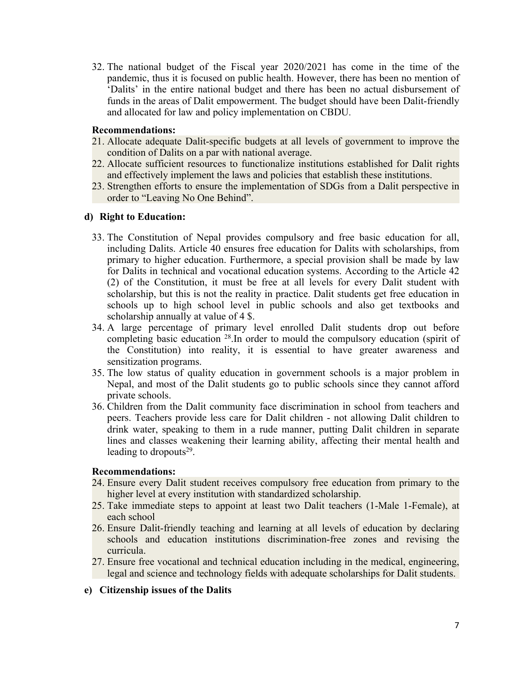32. The national budget of the Fiscal year 2020/2021 has come in the time of the pandemic, thus it is focused on public health. However, there has been no mention of 'Dalits' in the entire national budget and there has been no actual disbursement of funds in the areas of Dalit empowerment. The budget should have been Dalit-friendly and allocated for law and policy implementation on CBDU.

#### **Recommendations:**

- 21. Allocate adequate Dalit-specific budgets at all levels of governmen<sup>t</sup> to improve the condition of Dalits on <sup>a</sup> par with national average.
- 22. Allocate sufficient resources to functionalize institutions established for Dalit rights and effectively implement the laws and policies that establish these institutions.
- 23. Strengthen efforts to ensure the implementation of SDGs from <sup>a</sup> Dalit perspective in order to "Leaving No One Behind".

## **d) Right to Education:**

- 33. The Constitution of Nepal provides compulsory and free basic education for all, including Dalits. Article 40 ensures free education for Dalits with scholarships, from primary to higher education. Furthermore, <sup>a</sup> special provision shall be made by law for Dalits in technical and vocational education systems. According to the Article 42 (2) of the Constitution, it must be free at all levels for every Dalit student with scholarship, but this is not the reality in practice. Dalit students ge<sup>t</sup> free education in schools up to high school level in public schools and also ge<sup>t</sup> textbooks and scholarship annually at value of 4 \$.
- 34. Alarge percentage of primary level enrolled Dalit students drop out before completing basic education <sup>28</sup> .In order to mould the compulsory education (spirit of the Constitution) into reality, it is essential to have greater awareness and sensitization programs.
- 35. The low status of quality education in governmen<sup>t</sup> schools is <sup>a</sup> major problem in Nepal, and most of the Dalit students go to public schools since they cannot afford private schools.
- 36. Children from the Dalit community face discrimination in school from teachers and peers. Teachers provide less care for Dalit children - not allowing Dalit children to drink water, speaking to them in <sup>a</sup> rude manner, putting Dalit children in separate lines and classes weakening their learning ability, affecting their mental health and leading to dropouts 29 .

## **Recommendations:**

- 24. Ensure every Dalit student receives compulsory free education from primary to the higher level at every institution with standardized scholarship.
- 25. Take immediate steps to appoint at least two Dalit teachers (1-Male 1-Female), at each school
- 26. Ensure Dalit-friendly teaching and learning at all levels of education by declaring schools and education institutions discrimination-free zones and revising the curricula.
- 27. Ensure free vocational and technical education including in the medical, engineering, legal and science and technology fields with adequate scholarships for Dalit students.

## **e) Citizenship issues of the Dalits**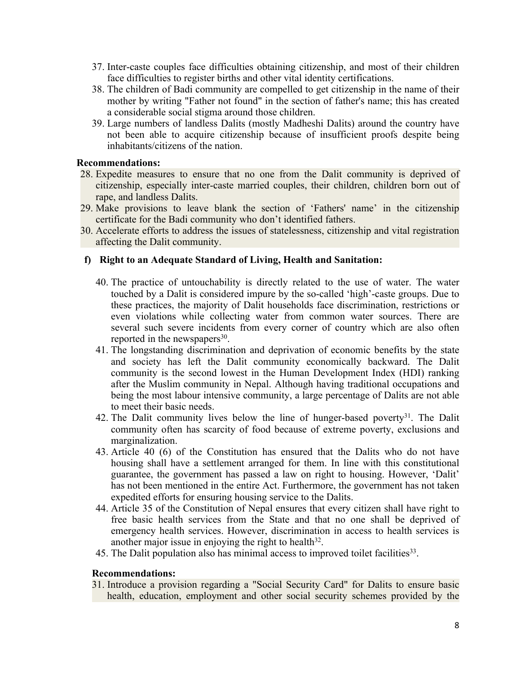- 37. Inter-caste couples face difficulties obtaining citizenship, and most of their children face difficulties to register births and other vital identity certifications.
- 38. The children of Badi community are compelled to ge<sup>t</sup> citizenship in the name of their mother by writing "Father not found" in the section of father's name; this has created <sup>a</sup> considerable social stigma around those children.
- 39. Large numbers of landless Dalits (mostly Madheshi Dalits) around the country have not been able to acquire citizenship because of insufficient proofs despite being inhabitants/citizens of the nation.

- 28. Expedite measures to ensure that no one from the Dalit community is deprived of citizenship, especially inter-caste married couples, their children, children born out of rape, and landless Dalits.
- 29. Make provisions to leave blank the section of 'Fathers' name' in the citizenship certificate for the Badi community who don'<sup>t</sup> identified fathers.
- 30. Accelerate efforts to address the issues of statelessness, citizenship and vital registration affecting the Dalit community.

## **f) Right to an Adequate Standard of Living, Health and Sanitation:**

- 40. The practice of untouchability is directly related to the use of water. The water touched by <sup>a</sup> Dalit is considered impure by the so-called 'high'-caste groups. Due to these practices, the majority of Dalit households face discrimination, restrictions or even violations while collecting water from common water sources. There are several such severe incidents from every corner of country which are also often reported in the newspapers<sup>30</sup>.
- 41. The longstanding discrimination and deprivation of economic benefits by the state and society has left the Dalit community economically backward. The Dalit community is the second lowest in the Human Development Index (HDI) ranking after the Muslim community in Nepal. Although having traditional occupations and being the most labour intensive community, <sup>a</sup> large percentage of Dalits are not able to meet their basic needs.
- 42. The Dalit community lives below the line of hunger-based poverty<sup>31</sup>. The Dalit community often has scarcity of food because of extreme poverty, exclusions and marginalization.
- 43. Article 40 (6) of the Constitution has ensured that the Dalits who do not have housing shall have <sup>a</sup> settlement arranged for them. In line with this constitutional guarantee, the governmen<sup>t</sup> has passed <sup>a</sup> law on right to housing. However, 'Dalit' has not been mentioned in the entire Act. Furthermore, the governmen<sup>t</sup> has not taken expedited efforts for ensuring housing service to the Dalits.
- 44. Article 35 of the Constitution of Nepal ensures that every citizen shall have right to free basic health services from the State and that no one shall be deprived of emergency health services. However, discrimination in access to health services is another major issue in enjoying the right to health $32$ .
- 45. The Dalit population also has minimal access to improved toilet facilities 33 .

#### **Recommendations:**

31. Introduce <sup>a</sup> provision regarding <sup>a</sup> "Social Security Card" for Dalits to ensure basic health, education, employment and other social security schemes provided by the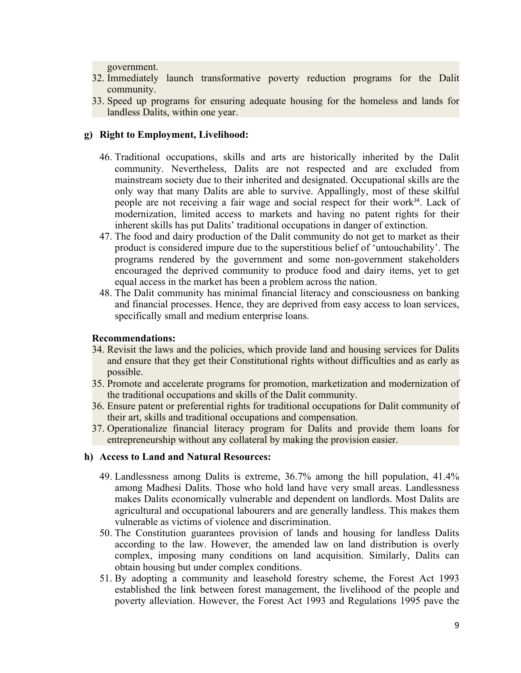government.

- 32. Immediately launch transformative poverty reduction programs for the Dalit community.
- 33. Speed up programs for ensuring adequate housing for the homeless and lands for landless Dalits, within one year.

# **g) Right to Employment, Livelihood:**

- 46. Traditional occupations, skills and arts are historically inherited by the Dalit community. Nevertheless, Dalits are not respected and are excluded from mainstream society due to their inherited and designated. Occupational skills are the only way that many Dalits are able to survive. Appallingly, most of these skilful people are not receiving a fair wage and social respect for their work<sup>34</sup>. Lack of modernization, limited access to markets and having no patent rights for their inherent skills has pu<sup>t</sup> Dalits' traditional occupations in danger of extinction.
- 47. The food and dairy production of the Dalit community do not ge<sup>t</sup> to market as their product is considered impure due to the superstitious belief of 'untouchability'. The programs rendered by the governmen<sup>t</sup> and some non-governmen<sup>t</sup> stakeholders encouraged the deprived community to produce food and dairy items, ye<sup>t</sup> to ge<sup>t</sup> equal access in the market has been <sup>a</sup> problem across the nation.
- 48. The Dalit community has minimal financial literacy and consciousness on banking and financial processes. Hence, they are deprived from easy access to loan services, specifically small and medium enterprise loans.

## **Recommendations:**

- 34. Revisit the laws and the policies, which provide land and housing services for Dalits and ensure that they ge<sup>t</sup> their Constitutional rights without difficulties and as early as possible.
- 35. Promote and accelerate programs for promotion, marketization and modernization of the traditional occupations and skills of the Dalit community.
- 36. Ensure patent or preferential rights for traditional occupations for Dalit community of their art, skills and traditional occupations and compensation.
- 37. Operationalize financial literacy program for Dalits and provide them loans for entrepreneurship without any collateral by making the provision easier.

## **h) Access to Land and Natural Resources:**

- 49. Landlessness among Dalits is extreme, 36.7% among the hill population, 41.4% among Madhesi Dalits. Those who hold land have very small areas. Landlessness makes Dalits economically vulnerable and dependent on landlords. Most Dalits are agricultural and occupational labourers and are generally landless. This makes them vulnerable as victims of violence and discrimination.
- 50. The Constitution guarantees provision of lands and housing for landless Dalits according to the law. However, the amended law on land distribution is overly complex, imposing many conditions on land acquisition. Similarly, Dalits can obtain housing but under complex conditions.
- 51. By adopting <sup>a</sup> community and leasehold forestry scheme, the Forest Act 1993 established the link between forest management, the livelihood of the people and poverty alleviation. However, the Forest Act 1993 and Regulations 1995 pave the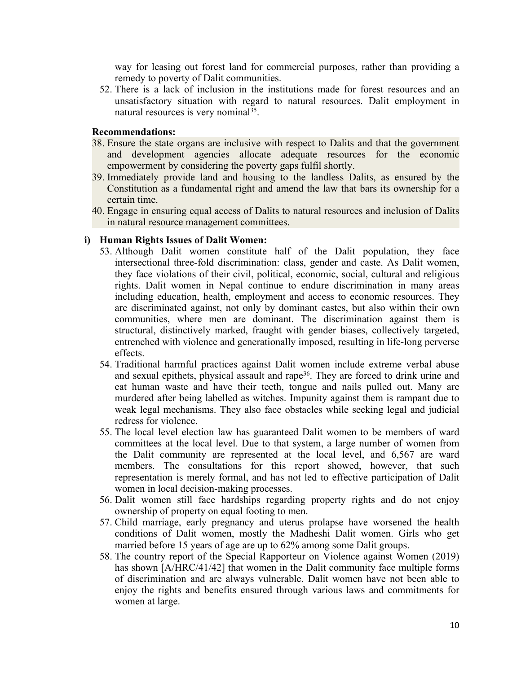way for leasing out forest land for commercial purposes, rather than providing <sup>a</sup> remedy to poverty of Dalit communities.

52. There is <sup>a</sup> lack of inclusion in the institutions made for forest resources and an unsatisfactory situation with regard to natural resources. Dalit employment in natural resources is very nominal<sup>35</sup>.

#### **Recommendations:**

- 38. Ensure the state organs are inclusive with respec<sup>t</sup> to Dalits and that the governmen<sup>t</sup> and development agencies allocate adequate resources for the economic empowermen<sup>t</sup> by considering the poverty gaps fulfil shortly.
- 39. Immediately provide land and housing to the landless Dalits, as ensured by the Constitution as <sup>a</sup> fundamental right and amend the law that bars its ownership for <sup>a</sup> certain time.
- 40. Engage in ensuring equal access of Dalits to natural resources and inclusion of Dalits in natural resource managemen<sup>t</sup> committees.

## **i) Human Rights Issues of Dalit Women:**

- 53. Although Dalit women constitute half of the Dalit population, they face intersectional three-fold discrimination: class, gender and caste. As Dalit women, they face violations of their civil, political, economic, social, cultural and religious rights. Dalit women in Nepal continue to endure discrimination in many areas including education, health, employment and access to economic resources. They are discriminated against, not only by dominant castes, but also within their own communities, where men are dominant. The discrimination against them is structural, distinctively marked, fraught with gender biases, collectively targeted, entrenched with violence and generationally imposed, resulting in life-long perverse effects.
- 54. Traditional harmful practices against Dalit women include extreme verbal abuse and sexual epithets, physical assault and rape<sup>36</sup>. They are forced to drink urine and eat human waste and have their teeth, tongue and nails pulled out. Many are murdered after being labelled as witches. Impunity against them is rampan<sup>t</sup> due to weak legal mechanisms. They also face obstacles while seeking legal and judicial redress for violence.
- 55. The local level election law has guaranteed Dalit women to be members of ward committees at the local level. Due to that system, <sup>a</sup> large number of women from the Dalit community are represented at the local level, and 6,567 are ward members. The consultations for this repor<sup>t</sup> showed, however, that such representation is merely formal, and has not led to effective participation of Dalit women in local decision-making processes.
- 56. Dalit women still face hardships regarding property rights and do not enjoy ownership of property on equal footing to men.
- 57. Child marriage, early pregnancy and uterus prolapse have worsened the health conditions of Dalit women, mostly the Madheshi Dalit women. Girls who ge<sup>t</sup> married before 15 years of age are up to 62% among some Dalit groups.
- 58. The country repor<sup>t</sup> of the Special Rapporteur on Violence against Women (2019) has shown [A/HRC/41/42] that women in the Dalit community face multiple forms of discrimination and are always vulnerable. Dalit women have not been able to enjoy the rights and benefits ensured through various laws and commitments for women at large.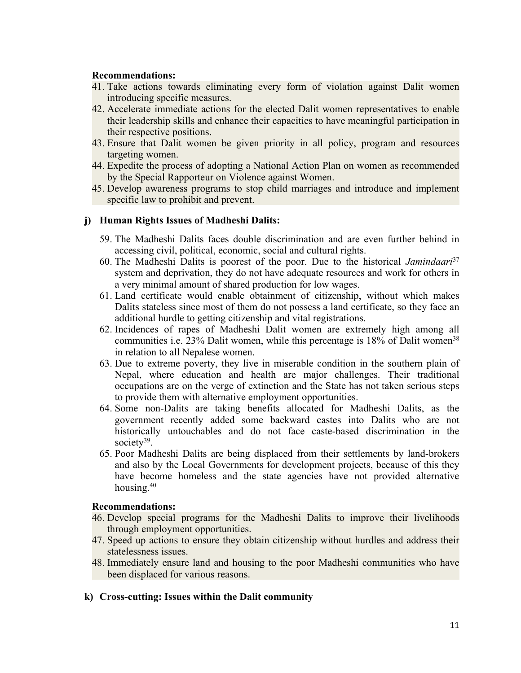- 41. Take actions towards eliminating every form of violation against Dalit women introducing specific measures.
- 42. Accelerate immediate actions for the elected Dalit women representatives to enable their leadership skills and enhance their capacities to have meaningful participation in their respective positions.
- 43. Ensure that Dalit women be given priority in all policy, program and resources targeting women.
- 44. Expedite the process of adopting <sup>a</sup> National Action Plan on women as recommended by the Special Rapporteur on Violence against Women.
- 45. Develop awareness programs to stop child marriages and introduce and implement specific law to prohibit and prevent.

# **j) Human Rights Issues of Madheshi Dalits:**

- 59. The Madheshi Dalits faces double discrimination and are even further behind in accessing civil, political, economic, social and cultural rights.
- 60. The Madheshi Dalits is poores<sup>t</sup> of the poor. Due to the historical *Jamindaari* 37 system and deprivation, they do not have adequate resources and work for others in <sup>a</sup> very minimal amount of shared production for low wages.
- 61. Land certificate would enable obtainment of citizenship, without which makes Dalits stateless since most of them do not possess <sup>a</sup> land certificate, so they face an additional hurdle to getting citizenship and vital registrations.
- 62. Incidences of rapes of Madheshi Dalit women are extremely high among all communities i.e. 23% Dalit women, while this percentage is 18% of Dalit women<sup>38</sup> in relation to all Nepalese women.
- 63. Due to extreme poverty, they live in miserable condition in the southern plain of Nepal, where education and health are major challenges. Their traditional occupations are on the verge of extinction and the State has not taken serious steps to provide them with alternative employment opportunities.
- 64. Some non-Dalits are taking benefits allocated for Madheshi Dalits, as the governmen<sup>t</sup> recently added some backward castes into Dalits who are not historically untouchables and do not face caste-based discrimination in the society<sup>39</sup>.
- 65. Poor Madheshi Dalits are being displaced from their settlements by land-brokers and also by the Local Governments for development projects, because of this they have become homeless and the state agencies have not provided alternative housing. 40

## **Recommendations:**

- 46. Develop special programs for the Madheshi Dalits to improve their livelihoods through employment opportunities.
- 47. Speed up actions to ensure they obtain citizenship without hurdles and address their statelessness issues.
- 48. Immediately ensure land and housing to the poor Madheshi communities who have been displaced for various reasons.

## **k) Cross-cutting: Issues within the Dalit community**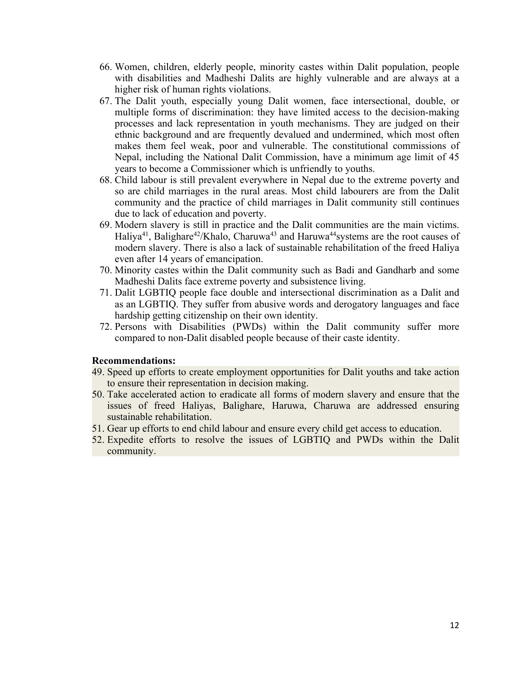- 66. Women, children, elderly people, minority castes within Dalit population, people with disabilities and Madheshi Dalits are highly vulnerable and are always at <sup>a</sup> higher risk of human rights violations.
- 67. The Dalit youth, especially young Dalit women, face intersectional, double, or multiple forms of discrimination: they have limited access to the decision-making processes and lack representation in youth mechanisms. They are judged on their ethnic background and are frequently devalued and undermined, which most often makes them feel weak, poor and vulnerable. The constitutional commissions of Nepal, including the National Dalit Commission, have <sup>a</sup> minimum age limit of 45 years to become <sup>a</sup> Commissioner which is unfriendly to youths.
- 68. Child labour is still prevalent everywhere in Nepal due to the extreme poverty and so are child marriages in the rural areas. Most child labourers are from the Dalit community and the practice of child marriages in Dalit community still continues due to lack of education and poverty.
- 69. Modern slavery is still in practice and the Dalit communities are the main victims. Haliya<sup>41</sup>, Balighare<sup>42</sup>/Khalo, Charuwa<sup>43</sup> and Haruwa<sup>44</sup>systems are the root causes of modern slavery. There is also <sup>a</sup> lack of sustainable rehabilitation of the freed Haliya even after 14 years of emancipation.
- 70. Minority castes within the Dalit community such as Badi and Gandharb and some Madheshi Dalits face extreme poverty and subsistence living.
- 71. Dalit LGBTIQ people face double and intersectional discrimination as <sup>a</sup> Dalit and as an LGBTIQ. They suffer from abusive words and derogatory languages and face hardship getting citizenship on their own identity.
- 72. Persons with Disabilities (PWDs) within the Dalit community suffer more compared to non-Dalit disabled people because of their caste identity.

- 49. Speed up efforts to create employment opportunities for Dalit youths and take action to ensure their representation in decision making.
- 50. Take accelerated action to eradicate all forms of modern slavery and ensure that the issues of freed Haliyas, Balighare, Haruwa, Charuwa are addressed ensuring sustainable rehabilitation.
- 51. Gear up efforts to end child labour and ensure every child ge<sup>t</sup> access to education.
- 52. Expedite efforts to resolve the issues of LGBTIQ and PWDs within the Dalit community.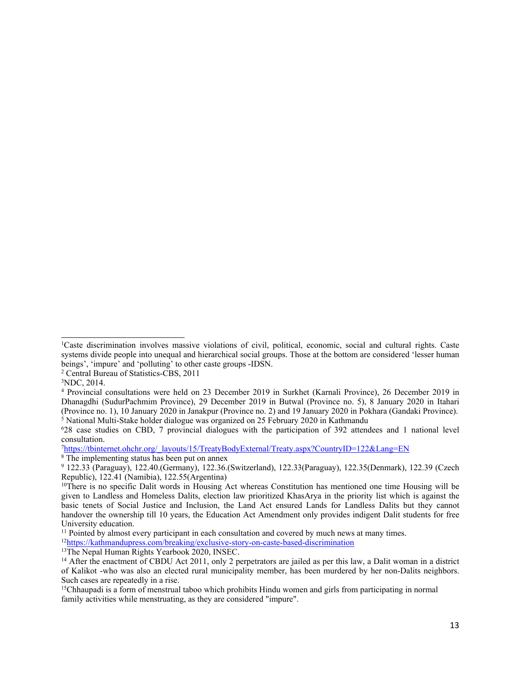8 The implementing status has been pu<sup>t</sup> on annex

<sup>12</sup><https://kathmandupress.com/breaking/exclusive-story-on-caste-based-discrimination>

<sup>1</sup>Caste discrimination involves massive violations of civil, political, economic, social and cultural rights. Caste systems divide people into unequal and hierarchical social groups. Those at the bottom are considered 'lesser human beings', 'impure' and 'polluting' to other caste groups -IDSN.

<sup>2</sup> Central Bureau of Statistics-CBS, 2011

<sup>3</sup>NDC, 2014.

<sup>4</sup> Provincial consultations were held on 23 December 2019 in Surkhet (Karnali Province), 26 December 2019 in Dhanagdhi (SudurPachmim Province), 29 December 2019 in Butwal (Province no. 5), 8 January 2020 in Itahari (Province no. 1), 10 January 2020 in Janakpur (Province no. 2) and 19 January 2020 in Pokhara (Gandaki Province). <sup>5</sup> National Multi-Stake holder dialogue was organized on 25 February 2020 in Kathmandu

<sup>6</sup> 28 case studies on CBD, 7 provincial dialogues with the participation of 392 attendees and 1 national level consultation.

<sup>7</sup> [https://tbinternet.ohchr.org/](https://tbinternet.ohchr.org/_layouts/15/TreatyBodyExternal/Treaty.aspx?CountryID=122&Lang=EN)\_[layouts/15/TreatyBodyExternal/Treaty.aspx?CountryID=122&Lang=EN](https://tbinternet.ohchr.org/_layouts/15/TreatyBodyExternal/Treaty.aspx?CountryID=122&Lang=EN)

<sup>9</sup> 122.33 (Paraguay), 122.40.(Germany), 122.36.(Switzerland), 122.33(Paraguay), 122.35(Denmark), 122.39 (Czech Republic), 122.41 (Namibia), 122.55(Argentina)

<sup>&</sup>lt;sup>10</sup>There is no specific Dalit words in Housing Act whereas Constitution has mentioned one time Housing will be given to Landless and Homeless Dalits, election law prioritized KhasArya in the priority list which is against the basic tenets of Social Justice and Inclusion, the Land Act ensured Lands for Landless Dalits but they cannot handover the ownership till 10 years, the Education Act Amendment only provides indigent Dalit students for free University education.

<sup>&</sup>lt;sup>11</sup> Pointed by almost every participant in each consultation and covered by much news at many times.

<sup>&</sup>lt;sup>13</sup>The Nepal Human Rights Yearbook 2020, INSEC.

<sup>&</sup>lt;sup>14</sup> After the enactment of CBDU Act 2011, only 2 perpetrators are jailed as per this law, a Dalit woman in a district of Kalikot -who was also an elected rural municipality member, has been murdered by her non-Dalits neighbors. Such cases are repeatedly in <sup>a</sup> rise.

<sup>&</sup>lt;sup>15</sup>Chhaupadi is a form of [menstrual](https://en.wikipedia.org/wiki/Menstrual_taboo) taboo which prohibits [Hindu](https://en.wikipedia.org/wiki/Hindu) women and girls from participating in normal family activities while [menstruating](https://en.wikipedia.org/wiki/Menstruation), as they are considered "impure".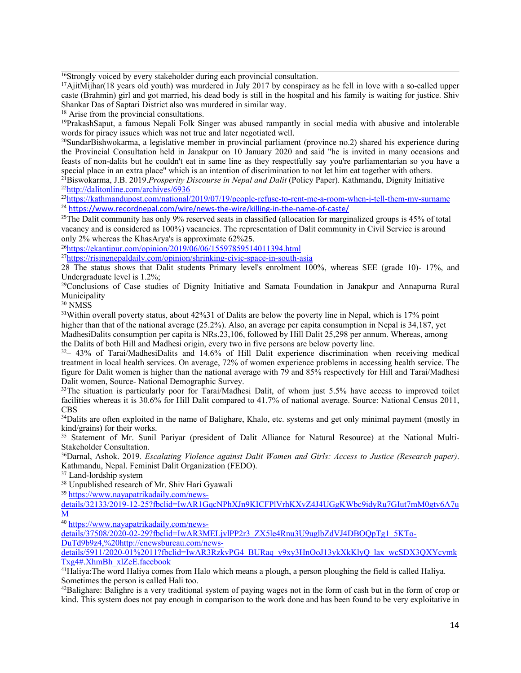16 Strongly voiced by every stakeholder during each provincial consultation.

<sup>17</sup>AjitMijhar(18 years old youth) was murdered in July 2017 by conspiracy as he fell in love with a so-called upper caste (Brahmin) girl and go<sup>t</sup> married, his dead body is still in the hospital and his family is waiting for justice. Shiv Shankar Das of Saptari District also was murdered in similar way.

<sup>18</sup> Arise from the provincial consultations.

19 PrakashSaput, <sup>a</sup> famous Nepali Folk Singer was abused rampantly in social media with abusive and intolerable words for piracy issues which was not true and later negotiated well.

20 SundarBishwokarma, <sup>a</sup> legislative member in provincial parliament (province no.2) shared his experience during the Provincial Consultation held in Janakpur on 10 January 2020 and said "he is invited in many occasions and feasts of non-dalits but he couldn't eat in same line as they respectfully say you're parliamentarian so you have <sup>a</sup> special place in an extra place" which is an intention of discrimination to not let him eat together with others.

<sup>21</sup>Biswokarma, J.B. 2019.*Prosperity Discourse in Nepal and Dalit* (Policy Paper). Kathmandu, Dignity Initiative <sup>22</sup><http://dalitonline.com/archives/6936>

23 <https://kathmandupost.com/national/2019/07/19/people-refuse-to-rent-me-a-room-when-i-tell-them-my-surname> <sup>24</sup> <https://www.recordnepal.com/wire/news-the-wire/killing-in-the-name-of-caste/>

<sup>25</sup>The Dalit community has only 9% reserved seats in classified (allocation for marginalized groups is 45% of total vacancy and is considered as 100%) vacancies. The representation of Dalit community in Civil Service is around only 2% whereas the KhasArya's is approximate 62%25.

<sup>26</sup><https://ekantipur.com/opinion/2019/06/06/15597859514011394.html>

<sup>27</sup><https://risingnepaldaily.com/opinion/shrinking-civic-space-in-south-asia>

28 The status shows that Dalit students Primary level's enrolment 100%, whereas SEE (grade 10)- 17%, and Undergraduate level is 1.2%;

<sup>29</sup>Conclusions of Case studies of Dignity Initiative and Samata Foundation in Janakpur and Annapurna Rural Municipality

<sup>30</sup> NMSS

<sup>31</sup>Within overall poverty status, about 42%31 of Dalits are below the poverty line in Nepal, which is 17% point higher than that of the national average (25.2%). Also, an average per capita consumption in Nepal is 34,187, yet MadhesiDalits consumption per capita is NRs.23,106, followed by Hill Dalit 25,298 per annum. Whereas, among the Dalits of both Hill and Madhesi origin, every two in five persons are below poverty line.

 $32-43\%$  of Tarai/MadhesiDalits and 14.6% of Hill Dalit experience discrimination when receiving medical treatment in local health services. On average, 72% of women experience problems in accessing health service. The figure for Dalit women is higher than the national average with 79 and 85% respectively for Hill and Tarai/Madhesi Dalit women, Source- National Demographic Survey.

<sup>33</sup>The situation is particularly poor for Tarai/Madhesi Dalit, of whom just 5.5% have access to improved toilet facilities whereas it is 30.6% for Hill Dalit compared to 41.7% of national average. Source: National Census 2011, CBS

<sup>34</sup>Dalits are often exploited in the name of Balighare, Khalo, etc. systems and get only minimal payment (mostly in kind/grains) for their works.

<sup>35</sup> Statement of Mr. Sunil Pariyar (president of Dalit Alliance for Natural Resource) at the National Multi-Stakeholder Consultation.

<sup>36</sup>Darnal, Ashok. 2019. *Escalating Violence against Dalit Women and Girls: Access to Justice (Research paper)*. Kathmandu, Nepal. Feminist Dalit Organization (FEDO).

<sup>37</sup> Land-lordship system

<sup>38</sup> Unpublished research of Mr. Shiv Hari Gyawali

<sup>39</sup> [https://www.nayapatrikadaily.com/news-](https://www.nayapatrikadaily.com/news-details/32133/2019-12-25?fbclid=IwAR1GqcNPhXJn9KICFPlVrhKXvZ4J4UGgKWbc9idyRu7GIut7mM0gtv6A7uM)

[details/32133/2019-12-25?fbclid=IwAR1GqcNPhXJn9KICFPlVrhKXvZ4J4UGgKWbc9idyRu7GIut7mM0gtv6A7u](https://www.nayapatrikadaily.com/news-details/32133/2019-12-25?fbclid=IwAR1GqcNPhXJn9KICFPlVrhKXvZ4J4UGgKWbc9idyRu7GIut7mM0gtv6A7uM) [M](https://www.nayapatrikadaily.com/news-details/32133/2019-12-25?fbclid=IwAR1GqcNPhXJn9KICFPlVrhKXvZ4J4UGgKWbc9idyRu7GIut7mM0gtv6A7uM)

<sup>40</sup> [https://www.nayapatrikadaily.com/news-](https://www.nayapatrikadaily.com/news-details/37508/2020-02-29?fbclid=IwAR3MELjvlPP2r3_ZX5le4Rnu3U9uglbZdVJ4DBOQpTg1_5KTo-DuTd9b9z4,%20http://enewsbureau.com/news-details/5911/2020-01%2011?fbclid=IwAR3RzkvPG4_BURaq_y9xy3HnOoJ13ykXkKlyQ_lax_wcSDX3QXYcymkTxg4#.XhmBh_xlZeE.facebook)

[details/37508/2020-02-29?fbclid=IwAR3MELjvlPP2r3\\_ZX5le4Rnu3U9uglbZdVJ4DBOQpTg1\\_5KTo-](https://www.nayapatrikadaily.com/news-details/37508/2020-02-29?fbclid=IwAR3MELjvlPP2r3_ZX5le4Rnu3U9uglbZdVJ4DBOQpTg1_5KTo-DuTd9b9z4,%20http://enewsbureau.com/news-details/5911/2020-01%2011?fbclid=IwAR3RzkvPG4_BURaq_y9xy3HnOoJ13ykXkKlyQ_lax_wcSDX3QXYcymkTxg4#.XhmBh_xlZeE.facebook)[DuTd9b9z4,%20http://enewsbureau.com/news-](https://www.nayapatrikadaily.com/news-details/37508/2020-02-29?fbclid=IwAR3MELjvlPP2r3_ZX5le4Rnu3U9uglbZdVJ4DBOQpTg1_5KTo-DuTd9b9z4,%20http://enewsbureau.com/news-details/5911/2020-01%2011?fbclid=IwAR3RzkvPG4_BURaq_y9xy3HnOoJ13ykXkKlyQ_lax_wcSDX3QXYcymkTxg4#.XhmBh_xlZeE.facebook)

[details/5911/2020-01%2011?fbclid=IwAR3RzkvPG4\\_BURaq\\_y9xy3HnOoJ13ykXkKlyQ\\_lax\\_wcSDX3QXYcymk](https://www.nayapatrikadaily.com/news-details/37508/2020-02-29?fbclid=IwAR3MELjvlPP2r3_ZX5le4Rnu3U9uglbZdVJ4DBOQpTg1_5KTo-DuTd9b9z4,%20http://enewsbureau.com/news-details/5911/2020-01%2011?fbclid=IwAR3RzkvPG4_BURaq_y9xy3HnOoJ13ykXkKlyQ_lax_wcSDX3QXYcymkTxg4#.XhmBh_xlZeE.facebook) [Txg4#.XhmBh\\_xlZeE.facebook](https://www.nayapatrikadaily.com/news-details/37508/2020-02-29?fbclid=IwAR3MELjvlPP2r3_ZX5le4Rnu3U9uglbZdVJ4DBOQpTg1_5KTo-DuTd9b9z4,%20http://enewsbureau.com/news-details/5911/2020-01%2011?fbclid=IwAR3RzkvPG4_BURaq_y9xy3HnOoJ13ykXkKlyQ_lax_wcSDX3QXYcymkTxg4#.XhmBh_xlZeE.facebook)

<sup>41</sup>Haliya:The word Haliya comes from Halo which means <sup>a</sup> <sup>p</sup>lough, <sup>a</sup> person <sup>p</sup>loughing the field is called Haliya. Sometimes the person is called Hali too.

 $42$ Balighare: Balighre is a very traditional system of paying wages not in the form of cash but in the form of crop or kind. This system does not pay enough in comparison to the work done and has been found to be very exploitative in